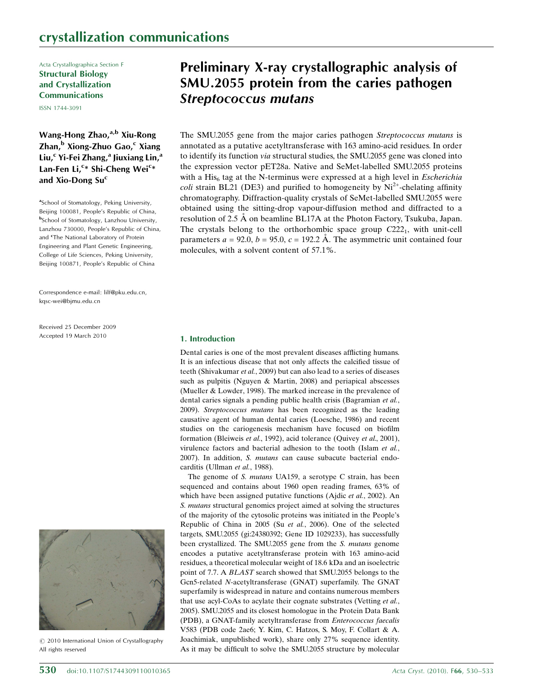Acta Crystallographica Section F Structural Biology and Crystallization Communications

ISSN 1744-3091

Wang-Hong Zhao, $a,b$  Xiu-Rong Zhan,<sup>b</sup> Xiong-Zhuo Gao,<sup>c</sup> Xiang Liu, $c$  Yi-Fei Zhang, $a$  Jiuxiang Lin, $a$ Lan-Fen Li,<sup>c</sup>\* Shi-Cheng Wei<sup>c</sup>\* and Xio-Dong  $Su<sup>c</sup>$ 

<sup>a</sup>School of Stomatology, Peking University, Beijing 100081, People's Republic of China, bSchool of Stomatology, Lanzhou University, Lanzhou 730000, People's Republic of China, and <sup>c</sup>The National Laboratory of Protein Engineering and Plant Genetic Engineering, College of Life Sciences, Peking University, Beijing 100871, People's Republic of China

Correspondence e-mail: lilf@pku.edu.cn, kqsc-wei@bjmu.edu.cn

Received 25 December 2009 Accepted 19 March 2010



 $\circled{c}$  2010 International Union of Crystallography All rights reserved

# Preliminary X-ray crystallographic analysis of SMU.2055 protein from the caries pathogen Streptococcus mutans

The SMU.2055 gene from the major caries pathogen Streptococcus mutans is annotated as a putative acetyltransferase with 163 amino-acid residues. In order to identify its function via structural studies, the SMU.2055 gene was cloned into the expression vector pET28a. Native and SeMet-labelled SMU.2055 proteins with a His $_6$  tag at the N-terminus were expressed at a high level in *Escherichia coli* strain BL21 (DE3) and purified to homogeneity by  $Ni^{2+}$ -chelating affinity chromatography. Diffraction-quality crystals of SeMet-labelled SMU.2055 were obtained using the sitting-drop vapour-diffusion method and diffracted to a resolution of 2.5 Å on beamline BL17A at the Photon Factory, Tsukuba, Japan. The crystals belong to the orthorhombic space group  $C222<sub>1</sub>$ , with unit-cell parameters  $a = 92.0$ ,  $b = 95.0$ ,  $c = 192.2$  Å. The asymmetric unit contained four molecules, with a solvent content of 57.1%.

# 1. Introduction

Dental caries is one of the most prevalent diseases afflicting humans. It is an infectious disease that not only affects the calcified tissue of teeth (Shivakumar et al., 2009) but can also lead to a series of diseases such as pulpitis (Nguyen & Martin, 2008) and periapical abscesses (Mueller & Lowder, 1998). The marked increase in the prevalence of dental caries signals a pending public health crisis (Bagramian et al., 2009). Streptococcus mutans has been recognized as the leading causative agent of human dental caries (Loesche, 1986) and recent studies on the cariogenesis mechanism have focused on biofilm formation (Bleiweis et al., 1992), acid tolerance (Quivey et al., 2001), virulence factors and bacterial adhesion to the tooth (Islam et al., 2007). In addition, S. mutans can cause subacute bacterial endocarditis (Ullman et al., 1988).

The genome of S. mutans UA159, a serotype C strain, has been sequenced and contains about 1960 open reading frames, 63% of which have been assigned putative functions (Ajdic et al., 2002). An S. mutans structural genomics project aimed at solving the structures of the majority of the cytosolic proteins was initiated in the People's Republic of China in 2005 (Su et al., 2006). One of the selected targets, SMU.2055 (gi:24380392; Gene ID 1029233), has successfully been crystallized. The SMU.2055 gene from the S. mutans genome encodes a putative acetyltransferase protein with 163 amino-acid residues, a theoretical molecular weight of 18.6 kDa and an isoelectric point of 7.7. A BLAST search showed that SMU.2055 belongs to the Gcn5-related N-acetyltransferase (GNAT) superfamily. The GNAT superfamily is widespread in nature and contains numerous members that use acyl-CoAs to acylate their cognate substrates (Vetting et al., 2005). SMU.2055 and its closest homologue in the Protein Data Bank (PDB), a GNAT-family acetyltransferase from Enterococcus faecalis V583 (PDB code 2ae6; Y. Kim, C. Hatzos, S. Moy, F. Collart & A. Joachimiak, unpublished work), share only 27% sequence identity. As it may be difficult to solve the SMU.2055 structure by molecular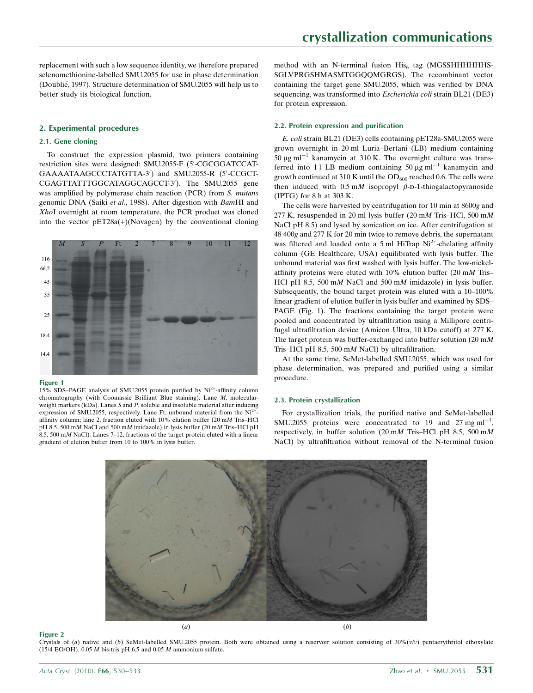replacement with such a low sequence identity, we therefore prepared selenomethionine-labelled SMU.2055 for use in phase determination (Doublie´, 1997). Structure determination of SMU.2055 will help us to better study its biological function.

# 2. Experimental procedures

# 2.1. Gene cloning

To construct the expression plasmid, two primers containing restriction sites were designed: SMU.2055-F (5'-CGCGGATCCAT-GAAAATAAGCCCTATGTTA-3') and SMU.2055-R (5'-CCGCT-CGAGTTATTTGGCATAGGCAGCCT-3'). The SMU.2055 gene was amplified by polymerase chain reaction (PCR) from S. mutans genomic DNA (Saiki et al., 1988). After digestion with BamHI and XhoI overnight at room temperature, the PCR product was cloned into the vector pET28a(+)(Novagen) by the conventional cloning



#### Figure 1

15% SDS–PAGE analysis of SMU.2055 protein purified by Ni2+-affinity column chromatography (with Coomassie Brilliant Blue staining). Lane M, molecularweight markers (kDa). Lanes S and P, soluble and insoluble material after inducing expression of SMU.2055, respectively. Lane Ft, unbound material from the  $Ni<sup>2+</sup>$ affinity column; lane 2, fraction eluted with 10% elution buffer (20 mM Tris–HCl pH 8.5, 500 mM NaCl and 500 mM imidazole) in lysis buffer (20 mM Tris–HCl pH  $8.5$ , 500 mM NaCl). Lanes 7–12, fractions of the target protein eluted with a linear gradient of elution buffer from 10 to 100% in lysis buffer.

method with an N-terminal fusion  $His<sub>6</sub>$  tag (MGSSHHHHHHS-SGLVPRGSHMASMTGGQQMGRGS). The recombinant vector containing the target gene SMU.2055, which was verified by DNA sequencing, was transformed into Escherichia coli strain BL21 (DE3) for protein expression.

## 2.2. Protein expression and purification

E. coli strain BL21 (DE3) cells containing pET28a-SMU.2055 were grown overnight in 20 ml Luria–Bertani (LB) medium containing 50  $\mu$ g ml<sup>-1</sup> kanamycin at 310 K. The overnight culture was transferred into 11 LB medium containing 50  $\mu$ g ml<sup>-1</sup> kanamycin and growth continued at 310 K until the  $OD_{600}$  reached 0.6. The cells were then induced with  $0.5 \text{ m}$  isopropyl  $\beta$ -D-1-thiogalactopyranoside (IPTG) for 8 h at 303 K.

The cells were harvested by centrifugation for 10 min at 8600g and 277 K, resuspended in 20 ml lysis buffer (20 mM Tris–HCl, 500 mM NaCl pH 8.5) and lysed by sonication on ice. After centrifugation at 48 400g and 277 K for 20 min twice to remove debris, the supernatant was filtered and loaded onto a 5 ml HiTrap  $Ni<sup>2+</sup>$ -chelating affinity column (GE Healthcare, USA) equilibrated with lysis buffer. The unbound material was first washed with lysis buffer. The low-nickelaffinity proteins were eluted with 10% elution buffer (20 mM Tris– HCl pH 8.5, 500 mM NaCl and 500 mM imidazole) in lysis buffer. Subsequently, the bound target protein was eluted with a 10–100% linear gradient of elution buffer in lysis buffer and examined by SDS– PAGE (Fig. 1). The fractions containing the target protein were pooled and concentrated by ultrafiltration using a Millipore centrifugal ultrafiltration device (Amicon Ultra, 10 kDa cutoff) at 277 K. The target protein was buffer-exchanged into buffer solution  $(20 \text{ m})$ Tris–HCl pH 8.5, 500 mM NaCl) by ultrafiltration.

At the same time, SeMet-labelled SMU.2055, which was used for phase determination, was prepared and purified using a similar procedure.

#### 2.3. Protein crystallization

For crystallization trials, the purified native and SeMet-labelled SMU.2055 proteins were concentrated to 19 and 27 mg  $ml^{-1}$ , respectively, in buffer solution (20 mM Tris–HCl pH 8.5, 500 mM NaCl) by ultrafiltration without removal of the N-terminal fusion



#### Figure 2

Crystals of (a) native and (b) SeMet-labelled SMU.2055 protein. Both were obtained using a reservoir solution consisting of  $30\%(\nu/\nu)$  pentaerythritol ethoxylate (15/4 EO/OH), 0.05  $M$  bis-tris pH 6.5 and 0.05  $M$  ammonium sulfate.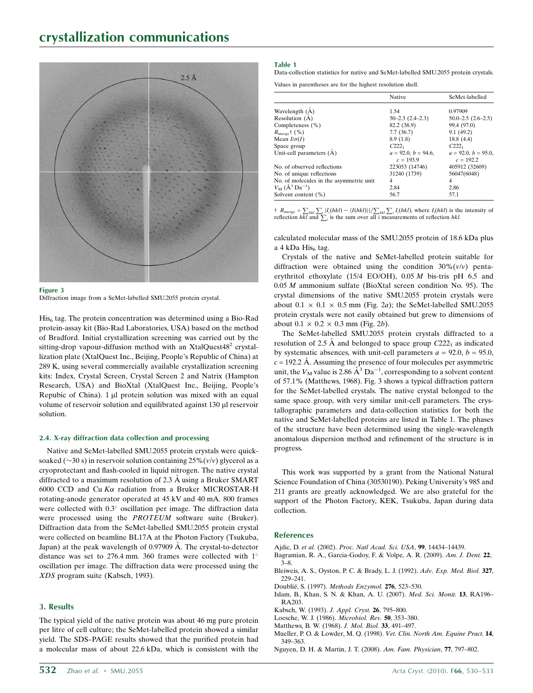

#### Figure 3

Diffraction image from a SeMet-labelled SMU.2055 protein crystal.

 $His<sub>6</sub>$  tag. The protein concentration was determined using a Bio-Rad protein-assay kit (Bio-Rad Laboratories, USA) based on the method of Bradford. Initial crystallization screening was carried out by the sitting-drop vapour-diffusion method with an XtalQuest $48<sup>2</sup>$  crystallization plate (XtalQuest Inc., Beijing, People's Republic of China) at 289 K, using several commercially available crystallization screening kits: Index, Crystal Screen, Crystal Screen 2 and Natrix (Hampton Research, USA) and BioXtal (XtalQuest Inc., Beijing, People's Repubic of China).  $1 \mu l$  protein solution was mixed with an equal volume of reservoir solution and equilibrated against 130 µl reservoir solution.

## 2.4. X-ray diffraction data collection and processing

Native and SeMet-labelled SMU.2055 protein crystals were quicksoaked ( $\sim$ 30 s) in reservoir solution containing 25%( $v/v$ ) glycerol as a cryoprotectant and flash-cooled in liquid nitrogen. The native crystal diffracted to a maximum resolution of  $2.3 \text{ Å}$  using a Bruker SMART 6000 CCD and Cu  $K\alpha$  radiation from a Bruker MICROSTAR-H rotating-anode generator operated at 45 kV and 40 mA. 800 frames were collected with 0.3° oscillation per image. The diffraction data were processed using the PROTEUM software suite (Bruker). Diffraction data from the SeMet-labelled SMU.2055 protein crystal were collected on beamline BL17A at the Photon Factory (Tsukuba, Japan) at the peak wavelength of 0.97909 Å. The crystal-to-detector distance was set to 276.4 mm. 360 frames were collected with 1 oscillation per image. The diffraction data were processed using the XDS program suite (Kabsch, 1993).

# 3. Results

The typical yield of the native protein was about 46 mg pure protein per litre of cell culture; the SeMet-labelled protein showed a similar yield. The SDS–PAGE results showed that the purified protein had a molecular mass of about 22.6 kDa, which is consistent with the

### Table 1

Data-collection statistics for native and SeMet-labelled SMU.2055 protein crystals.

Values in parentheses are for the highest resolution shell.

|                                         | Native                   | SeMet-labelled             |
|-----------------------------------------|--------------------------|----------------------------|
| Wavelength $(A)$                        | 1.54                     | 0.97909                    |
| Resolution (A)                          | $50 - 2.3$ $(2.4 - 2.3)$ | $50.0 - 2.5$ $(2.6 - 2.5)$ |
| Completeness (%)                        | 82.2 (38.9)              | 99.4 (97.0)                |
| $R_{\text{merge}}$ † (%)                | 7.7(36.7)                | 9.1(49.2)                  |
| Mean $I/\sigma(I)$                      | 8.9(1.8)                 | 18.8(4.4)                  |
| Space group                             | $C222_1$                 | $C222_1$                   |
| Unit-cell parameters (A)                | $a = 92.0, b = 94.6,$    | $a = 92.0, b = 95.0,$      |
|                                         | $c = 193.9$              | $c = 192.2$                |
| No. of observed reflections             | 223053 (14746)           | 405912 (32609)             |
| No. of unique reflections               | 31240 (1739)             | 56047(6048)                |
| No. of molecules in the asymmetric unit | 4                        | 4                          |
| $V_{\rm M}$ ( $A^3$ Da <sup>-1</sup> )  | 2.84                     | 2.86                       |
| Solvent content $(\%)$                  | 56.7                     | 57.1                       |

†  $R_{\text{merge}} = \sum_{hkl} \sum_i |I_l(hkl) - \langle I(hkl) \rangle| / \sum_{hkl} \sum_i I_l(hkl)$ , where  $I_l(hkl)$  is the intensity of reflection  $hkl$  and  $\sum_i$  is the sum over all *i* measurements of reflection  $hkl$ .

calculated molecular mass of the SMU.2055 protein of 18.6 kDa plus a 4 kDa His $<sub>6</sub>$  tag.</sub>

Crystals of the native and SeMet-labelled protein suitable for diffraction were obtained using the condition  $30\%$  (v/v) pentaerythritol ethoxylate (15/4 EO/OH), 0.05 M bis-tris pH 6.5 and 0.05 M ammonium sulfate (BioXtal screen condition No. 95). The crystal dimensions of the native SMU.2055 protein crystals were about  $0.1 \times 0.1 \times 0.5$  mm (Fig. 2a); the SeMet-labelled SMU.2055 protein crystals were not easily obtained but grew to dimensions of about  $0.1 \times 0.2 \times 0.3$  mm (Fig. 2b).

The SeMet-labelled SMU.2055 protein crystals diffracted to a resolution of 2.5 Å and belonged to space group  $C222<sub>1</sub>$  as indicated by systematic absences, with unit-cell parameters  $a = 92.0, b = 95.0,$  $c = 192.2$  Å. Assuming the presence of four molecules per asymmetric unit, the  $V_M$  value is 2.86  $\AA^3$  Da<sup>-1</sup>, corresponding to a solvent content of 57.1% (Matthews, 1968). Fig. 3 shows a typical diffraction pattern for the SeMet-labelled crystals. The native crystal belonged to the same space group, with very similar unit-cell parameters. The crystallographic parameters and data-collection statistics for both the native and SeMet-labelled proteins are listed in Table 1. The phases of the structure have been determined using the single-wavelength anomalous dispersion method and refinement of the structure is in progress.

This work was supported by a grant from the National Natural Science Foundation of China (30530190). Peking University's 985 and 211 grants are greatly acknowledged. We are also grateful for the support of the Photon Factory, KEK, Tsukuba, Japan during data collection.

## **References**

- Ajdic, D. et al. (2002). [Proc. Natl Acad. Sci. USA](http://scripts.iucr.org/cgi-bin/cr.cgi?rm=pdfbb&cnor=pu5290&bbid=BB1), 99, 14434–14439.
- [Bagramian, R. A., Garcia-Godoy, F. & Volpe, A. R. \(2009\).](http://scripts.iucr.org/cgi-bin/cr.cgi?rm=pdfbb&cnor=pu5290&bbid=BB2) Am. J. Dent. 22, [3–8.](http://scripts.iucr.org/cgi-bin/cr.cgi?rm=pdfbb&cnor=pu5290&bbid=BB2)
- [Bleiweis, A. S., Oyston, P. C. & Brady, L. J. \(1992\).](http://scripts.iucr.org/cgi-bin/cr.cgi?rm=pdfbb&cnor=pu5290&bbid=BB3) Adv. Exp. Med. Biol. 327, [229–241.](http://scripts.iucr.org/cgi-bin/cr.cgi?rm=pdfbb&cnor=pu5290&bbid=BB3)
- Doublié, S. (1997). Methods Enzymol. 276, 523-530.
- [Islam, B., Khan, S. N. & Khan, A. U. \(2007\).](http://scripts.iucr.org/cgi-bin/cr.cgi?rm=pdfbb&cnor=pu5290&bbid=BB5) Med. Sci. Monit. 13, RA196– [RA203.](http://scripts.iucr.org/cgi-bin/cr.cgi?rm=pdfbb&cnor=pu5290&bbid=BB5)
- [Kabsch, W. \(1993\).](http://scripts.iucr.org/cgi-bin/cr.cgi?rm=pdfbb&cnor=pu5290&bbid=BB6) J. Appl. Cryst. 26, 795–800.
- [Loesche, W. J. \(1986\).](http://scripts.iucr.org/cgi-bin/cr.cgi?rm=pdfbb&cnor=pu5290&bbid=BB7) Microbiol. Rev. 50, 353–380.
- [Matthews, B. W. \(1968\).](http://scripts.iucr.org/cgi-bin/cr.cgi?rm=pdfbb&cnor=pu5290&bbid=BB8) J. Mol. Biol. 33, 491–497.
- [Mueller, P. O. & Lowder, M. Q. \(1998\).](http://scripts.iucr.org/cgi-bin/cr.cgi?rm=pdfbb&cnor=pu5290&bbid=BB9) Vet. Clin. North Am. Equine Pract. 14, [349–363.](http://scripts.iucr.org/cgi-bin/cr.cgi?rm=pdfbb&cnor=pu5290&bbid=BB9)
- [Nguyen, D. H. & Martin, J. T. \(2008\).](http://scripts.iucr.org/cgi-bin/cr.cgi?rm=pdfbb&cnor=pu5290&bbid=BB10) Am. Fam. Physician, 77, 797–802.